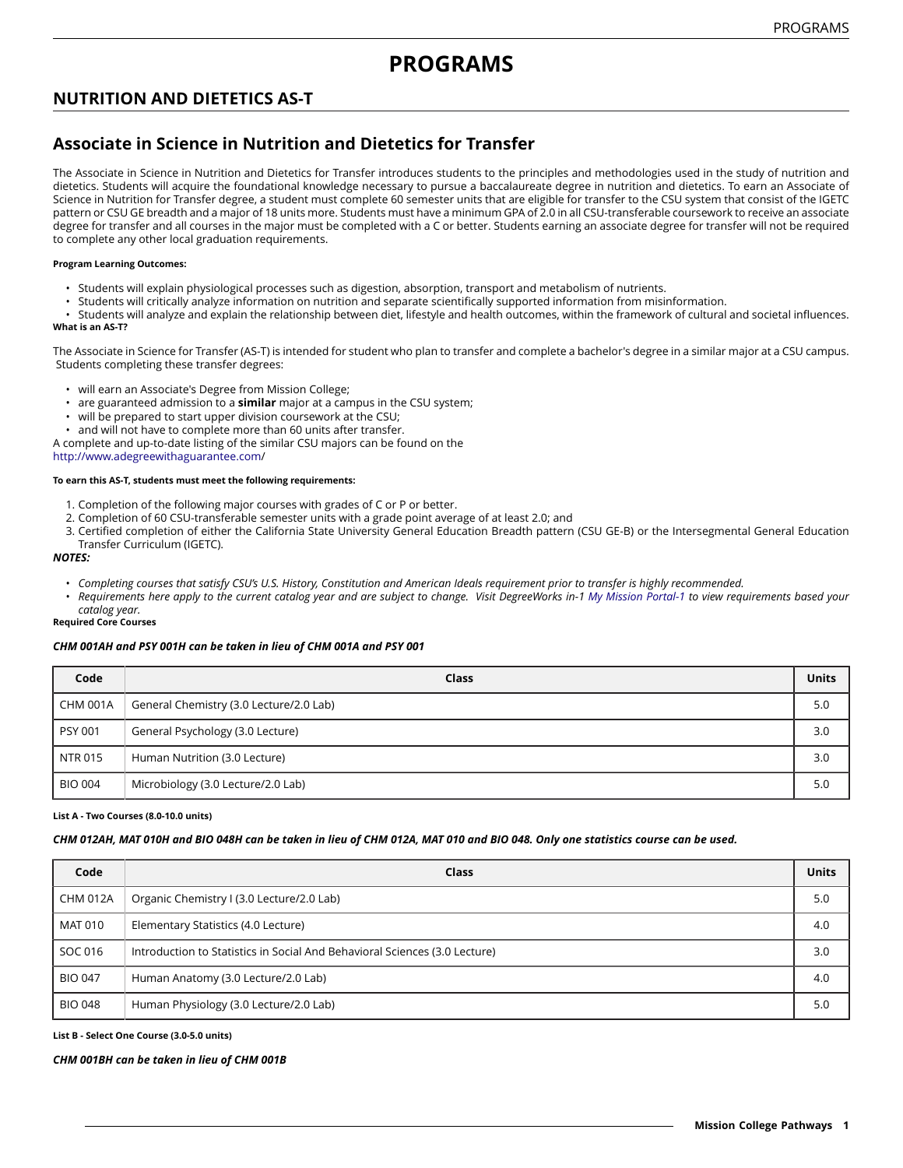# **NUTRITION AND DIETETICS AS-T**

# **Associate in Science in Nutrition and Dietetics for Transfer**

The Associate in Science in Nutrition and Dietetics for Transfer introduces students to the principles and methodologies used in the study of nutrition and dietetics. Students will acquire the foundational knowledge necessary to pursue a baccalaureate degree in nutrition and dietetics. To earn an Associate of Science in Nutrition for Transfer degree, a student must complete 60 semester units that are eligible for transfer to the CSU system that consist of the IGETC pattern or CSU GE breadth and a major of 18 units more. Students must have a minimum GPA of 2.0 in all CSU-transferable coursework to receive an associate degree for transfer and all courses in the major must be completed with a C or better. Students earning an associate degree for transfer will not be required to complete any other local graduation requirements.

### **Program Learning Outcomes:**

- Students will explain physiological processes such as digestion, absorption, transport and metabolism of nutrients.
- Students will critically analyze information on nutrition and separate scientifically supported information from misinformation.

• Students will analyze and explain the relationship between diet, lifestyle and health outcomes, within the framework of cultural and societal influences. **What is an AS-T?**

The Associate in Science for Transfer (AS-T) is intended for student who plan to transfer and complete a bachelor's degree in a similar major at a CSU campus. Students completing these transfer degrees:

- will earn an Associate's Degree from Mission College;
- are guaranteed admission to a **similar** major at a campus in the CSU system;
- will be prepared to start upper division coursework at the CSU;
- and will not have to complete more than 60 units after transfer.

A complete and up-to-date listing of the similar CSU majors can be found on the

[http://www.adegreewithaguarantee.com](http://www.adegreewithaguarantee.com/)/

#### **To earn this AS-T, students must meet the following requirements:**

- 1. Completion of the following major courses with grades of C or P or better.
- 2. Completion of 60 CSU-transferable semester units with a grade point average of at least 2.0; and
- 3. Certified completion of either the California State University General Education Breadth pattern (CSU GE-B) or the Intersegmental General Education Transfer Curriculum (IGETC).

#### *NOTES:*

- Completing courses that satisfy CSU's U.S. History, Constitution and American Ideals requirement prior to transfer is highly recommended.
- Requirements here apply to the current catalog year and are subject to change. Visit DegreeWorks in-1 [My Mission Portal-1](https://wvmccd.sharepoint.com/sites/MCPortal) to view requirements based your *catalog year.*

# **Required Core Courses**

# *CHM 001AH and PSY 001H can be taken in lieu of CHM 001A and PSY 001*

| Code            | Class                                   | <b>Units</b> |
|-----------------|-----------------------------------------|--------------|
| <b>CHM 001A</b> | General Chemistry (3.0 Lecture/2.0 Lab) | 5.0          |
| <b>PSY 001</b>  | General Psychology (3.0 Lecture)        | 3.0          |
| <b>NTR 015</b>  | Human Nutrition (3.0 Lecture)           | 3.0          |
| <b>BIO 004</b>  | Microbiology (3.0 Lecture/2.0 Lab)      | 5.0          |

#### **List A - Two Courses (8.0-10.0 units)**

# CHM 012AH, MAT 010H and BIO 048H can be taken in lieu of CHM 012A, MAT 010 and BIO 048. Only one statistics course can be used.

| Code            | Class                                                                      | <b>Units</b> |
|-----------------|----------------------------------------------------------------------------|--------------|
| <b>CHM 012A</b> | Organic Chemistry I (3.0 Lecture/2.0 Lab)                                  | 5.0          |
| MAT 010         | Elementary Statistics (4.0 Lecture)                                        | 4.0          |
| SOC 016         | Introduction to Statistics in Social And Behavioral Sciences (3.0 Lecture) | 3.0          |
| <b>BIO 047</b>  | Human Anatomy (3.0 Lecture/2.0 Lab)                                        | 4.0          |
| <b>BIO 048</b>  | Human Physiology (3.0 Lecture/2.0 Lab)                                     | 5.0          |

#### **List B - Select One Course (3.0-5.0 units)**

#### *CHM 001BH can be taken in lieu of CHM 001B*